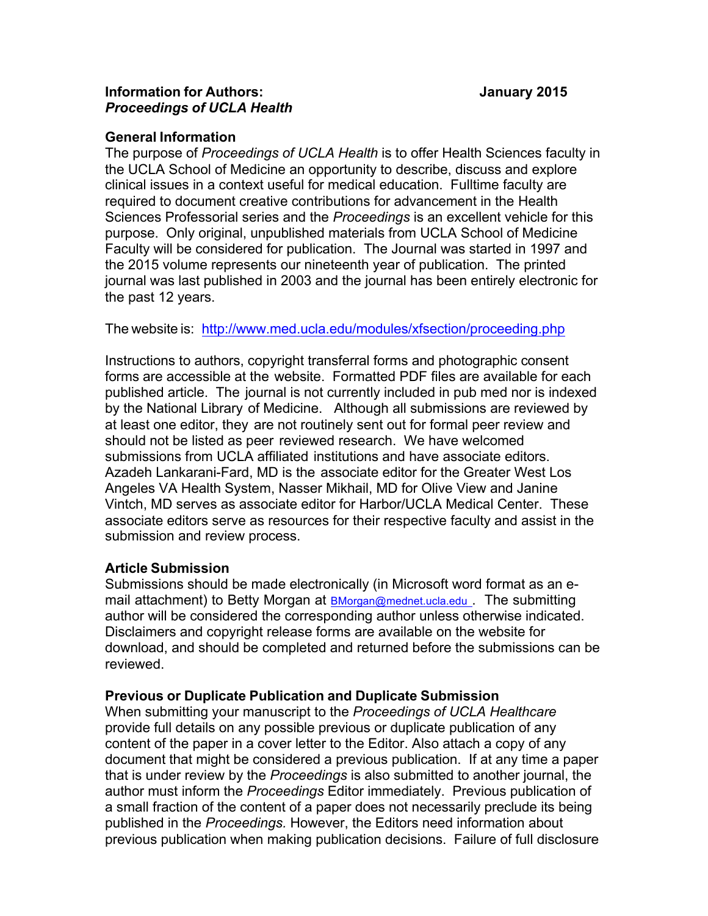### **General Information**

The purpose of *Proceedings of UCLA Health* is to offer Health Sciences faculty in the UCLA School of Medicine an opportunity to describe, discuss and explore clinical issues in a context useful for medical education. Fulltime faculty are required to document creative contributions for advancement in the Health Sciences Professorial series and the *Proceedings* is an excellent vehicle for this purpose. Only original, unpublished materials from UCLA School of Medicine Faculty will be considered for publication. The Journal was started in 1997 and the 2015 volume represents our nineteenth year of publication. The printed journal was last published in 2003 and the journal has been entirely electronic for the past 12 years.

The website is: http://www.med.ucla.edu/modules/xfsection/proceeding.php

Instructions to authors, copyright transferral forms and photographic consent forms are accessible at the website. Formatted PDF files are available for each published article. The journal is not currently included in pub med nor is indexed by the National Library of Medicine. Although all submissions are reviewed by at least one editor, they are not routinely sent out for formal peer review and should not be listed as peer reviewed research. We have welcomed submissions from UCLA affiliated institutions and have associate editors. Azadeh Lankarani-Fard, MD is the associate editor for the Greater West Los Angeles VA Health System, Nasser Mikhail, MD for Olive View and Janine Vintch, MD serves as associate editor for Harbor/UCLA Medical Center. These associate editors serve as resources for their respective faculty and assist in the submission and review process.

# **Article Submission**

Submissions should be made electronically (in Microsoft word format as an email attachment) to Betty Morgan at BMorgan@mednet.ucla.edu . The submitting author will be considered the corresponding author unless otherwise indicated. Disclaimers and copyright release forms are available on the website for download, and should be completed and returned before the submissions can be reviewed.

# **Previous or Duplicate Publication and Duplicate Submission**

When submitting your manuscript to the *Proceedings of UCLA Healthcare* provide full details on any possible previous or duplicate publication of any content of the paper in a cover letter to the Editor. Also attach a copy of any document that might be considered a previous publication. If at any time a paper that is under review by the *Proceedings* is also submitted to another journal, the author must inform the *Proceedings* Editor immediately. Previous publication of a small fraction of the content of a paper does not necessarily preclude its being published in the *Proceedings.* However, the Editors need information about previous publication when making publication decisions. Failure of full disclosure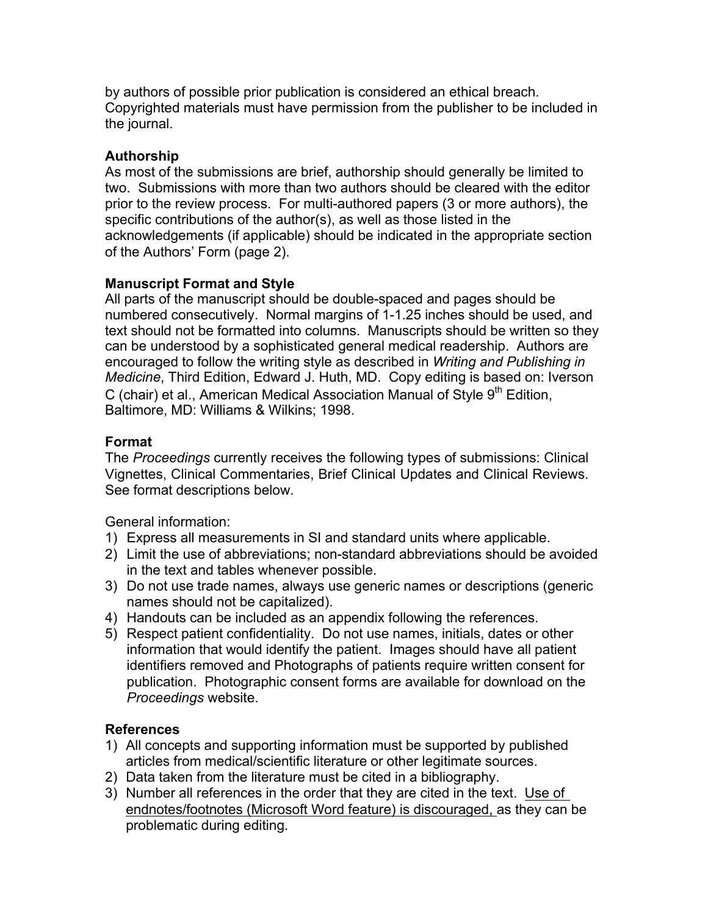by authors of possible prior publication is considered an ethical breach. Copyrighted materials must have permission from the publisher to be included in the journal.

# **Authorship**

As most of the submissions are brief, authorship should generally be limited to two. Submissions with more than two authors should be cleared with the editor prior to the review process. For multi-authored papers (3 or more authors), the specific contributions of the author(s), as well as those listed in the acknowledgements (if applicable) should be indicated in the appropriate section of the Authors' Form (page 2).

# **Manuscript Format and Style**

All parts of the manuscript should be double-spaced and pages should be numbered consecutively. Normal margins of 1-1.25 inches should be used, and text should not be formatted into columns. Manuscripts should be written so they can be understood by a sophisticated general medical readership. Authors are encouraged to follow the writing style as described in *Writing and Publishing in Medicine*, Third Edition, Edward J. Huth, MD. Copy editing is based on: Iverson C (chair) et al., American Medical Association Manual of Style  $9<sup>th</sup>$  Edition. Baltimore, MD: Williams & Wilkins; 1998.

# **Format**

The *Proceedings* currently receives the following types of submissions: Clinical Vignettes, Clinical Commentaries, Brief Clinical Updates and Clinical Reviews. See format descriptions below.

General information:

- 1) Express all measurements in SI and standard units where applicable.
- 2) Limit the use of abbreviations; non-standard abbreviations should be avoided in the text and tables whenever possible.
- 3) Do not use trade names, always use generic names or descriptions (generic names should not be capitalized).
- 4) Handouts can be included as an appendix following the references.
- 5) Respect patient confidentiality. Do not use names, initials, dates or other information that would identify the patient. Images should have all patient identifiers removed and Photographs of patients require written consent for publication. Photographic consent forms are available for download on the *Proceedings* website.

# **References**

- 1) All concepts and supporting information must be supported by published articles from medical/scientific literature or other legitimate sources.
- 2) Data taken from the literature must be cited in a bibliography.
- 3) Number all references in the order that they are cited in the text. Use of endnotes/footnotes (Microsoft Word feature) is discouraged, as they can be problematic during editing.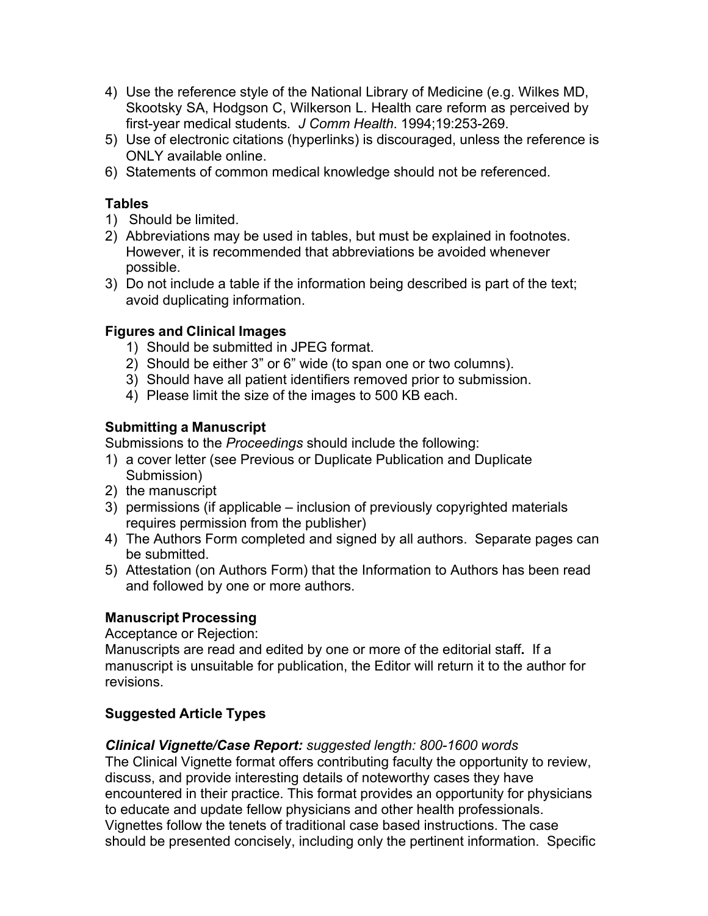- 4) Use the reference style of the National Library of Medicine (e.g. Wilkes MD, Skootsky SA, Hodgson C, Wilkerson L. Health care reform as perceived by first-year medical students*. J Comm Health*. 1994;19:253-269.
- 5) Use of electronic citations (hyperlinks) is discouraged, unless the reference is ONLY available online.
- 6) Statements of common medical knowledge should not be referenced.

### **Tables**

- 1) Should be limited.
- 2) Abbreviations may be used in tables, but must be explained in footnotes. However, it is recommended that abbreviations be avoided whenever possible.
- 3) Do not include a table if the information being described is part of the text; avoid duplicating information.

### **Figures and Clinical Images**

- 1) Should be submitted in JPEG format.
- 2) Should be either 3" or 6" wide (to span one or two columns).
- 3) Should have all patient identifiers removed prior to submission.
- 4) Please limit the size of the images to 500 KB each.

# **Submitting a Manuscript**

Submissions to the *Proceedings* should include the following:

- 1) a cover letter (see Previous or Duplicate Publication and Duplicate Submission)
- 2) the manuscript
- 3) permissions (if applicable inclusion of previously copyrighted materials requires permission from the publisher)
- 4) The Authors Form completed and signed by all authors. Separate pages can be submitted.
- 5) Attestation (on Authors Form) that the Information to Authors has been read and followed by one or more authors.

# **Manuscript Processing**

Acceptance or Rejection:

Manuscripts are read and edited by one or more of the editorial staff**.** If a manuscript is unsuitable for publication, the Editor will return it to the author for revisions.

# **Suggested Article Types**

*Clinical Vignette/Case Report: suggested length: 800-1600 words*

The Clinical Vignette format offers contributing faculty the opportunity to review, discuss, and provide interesting details of noteworthy cases they have encountered in their practice. This format provides an opportunity for physicians to educate and update fellow physicians and other health professionals. Vignettes follow the tenets of traditional case based instructions. The case should be presented concisely, including only the pertinent information. Specific